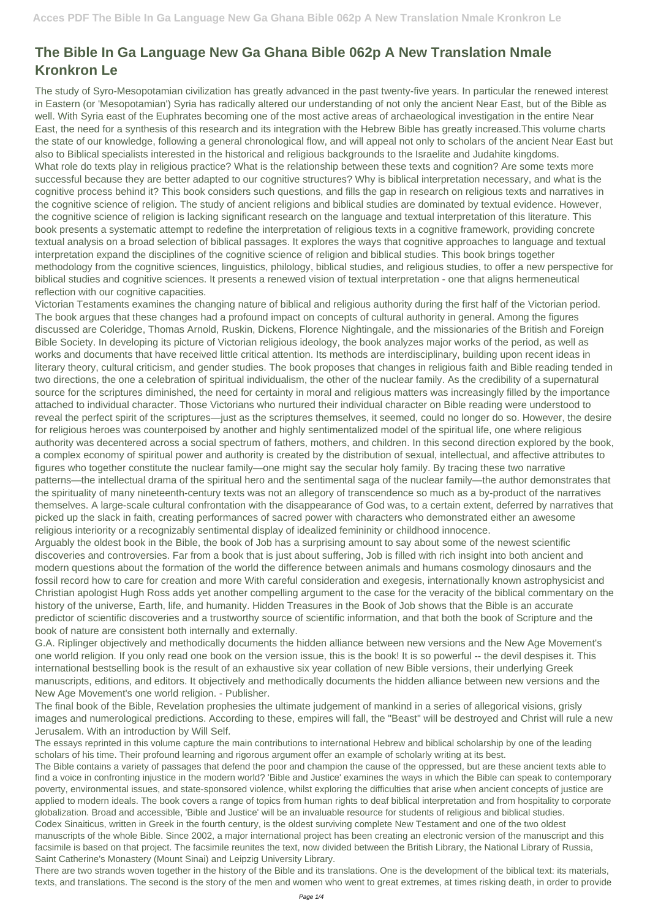## **The Bible In Ga Language New Ga Ghana Bible 062p A New Translation Nmale Kronkron Le**

The study of Syro-Mesopotamian civilization has greatly advanced in the past twenty-five years. In particular the renewed interest in Eastern (or 'Mesopotamian') Syria has radically altered our understanding of not only the ancient Near East, but of the Bible as well. With Syria east of the Euphrates becoming one of the most active areas of archaeological investigation in the entire Near East, the need for a synthesis of this research and its integration with the Hebrew Bible has greatly increased.This volume charts the state of our knowledge, following a general chronological flow, and will appeal not only to scholars of the ancient Near East but also to Biblical specialists interested in the historical and religious backgrounds to the Israelite and Judahite kingdoms. What role do texts play in religious practice? What is the relationship between these texts and cognition? Are some texts more successful because they are better adapted to our cognitive structures? Why is biblical interpretation necessary, and what is the cognitive process behind it? This book considers such questions, and fills the gap in research on religious texts and narratives in the cognitive science of religion. The study of ancient religions and biblical studies are dominated by textual evidence. However, the cognitive science of religion is lacking significant research on the language and textual interpretation of this literature. This book presents a systematic attempt to redefine the interpretation of religious texts in a cognitive framework, providing concrete textual analysis on a broad selection of biblical passages. It explores the ways that cognitive approaches to language and textual interpretation expand the disciplines of the cognitive science of religion and biblical studies. This book brings together methodology from the cognitive sciences, linguistics, philology, biblical studies, and religious studies, to offer a new perspective for biblical studies and cognitive sciences. It presents a renewed vision of textual interpretation - one that aligns hermeneutical reflection with our cognitive capacities.

Victorian Testaments examines the changing nature of biblical and religious authority during the first half of the Victorian period. The book argues that these changes had a profound impact on concepts of cultural authority in general. Among the figures discussed are Coleridge, Thomas Arnold, Ruskin, Dickens, Florence Nightingale, and the missionaries of the British and Foreign Bible Society. In developing its picture of Victorian religious ideology, the book analyzes major works of the period, as well as works and documents that have received little critical attention. Its methods are interdisciplinary, building upon recent ideas in literary theory, cultural criticism, and gender studies. The book proposes that changes in religious faith and Bible reading tended in two directions, the one a celebration of spiritual individualism, the other of the nuclear family. As the credibility of a supernatural source for the scriptures diminished, the need for certainty in moral and religious matters was increasingly filled by the importance attached to individual character. Those Victorians who nurtured their individual character on Bible reading were understood to reveal the perfect spirit of the scriptures—just as the scriptures themselves, it seemed, could no longer do so. However, the desire for religious heroes was counterpoised by another and highly sentimentalized model of the spiritual life, one where religious authority was decentered across a social spectrum of fathers, mothers, and children. In this second direction explored by the book, a complex economy of spiritual power and authority is created by the distribution of sexual, intellectual, and affective attributes to figures who together constitute the nuclear family—one might say the secular holy family. By tracing these two narrative patterns—the intellectual drama of the spiritual hero and the sentimental saga of the nuclear family—the author demonstrates that the spirituality of many nineteenth-century texts was not an allegory of transcendence so much as a by-product of the narratives themselves. A large-scale cultural confrontation with the disappearance of God was, to a certain extent, deferred by narratives that picked up the slack in faith, creating performances of sacred power with characters who demonstrated either an awesome religious interiority or a recognizably sentimental display of idealized femininity or childhood innocence.

Arguably the oldest book in the Bible, the book of Job has a surprising amount to say about some of the newest scientific discoveries and controversies. Far from a book that is just about suffering, Job is filled with rich insight into both ancient and modern questions about the formation of the world the difference between animals and humans cosmology dinosaurs and the fossil record how to care for creation and more With careful consideration and exegesis, internationally known astrophysicist and Christian apologist Hugh Ross adds yet another compelling argument to the case for the veracity of the biblical commentary on the history of the universe, Earth, life, and humanity. Hidden Treasures in the Book of Job shows that the Bible is an accurate predictor of scientific discoveries and a trustworthy source of scientific information, and that both the book of Scripture and the book of nature are consistent both internally and externally.

G.A. Riplinger objectively and methodically documents the hidden alliance between new versions and the New Age Movement's one world religion. If you only read one book on the version issue, this is the book! It is so powerful -- the devil despises it. This international bestselling book is the result of an exhaustive six year collation of new Bible versions, their underlying Greek manuscripts, editions, and editors. It objectively and methodically documents the hidden alliance between new versions and the New Age Movement's one world religion. - Publisher.

The final book of the Bible, Revelation prophesies the ultimate judgement of mankind in a series of allegorical visions, grisly images and numerological predictions. According to these, empires will fall, the "Beast" will be destroyed and Christ will rule a new Jerusalem. With an introduction by Will Self.

The essays reprinted in this volume capture the main contributions to international Hebrew and biblical scholarship by one of the leading scholars of his time. Their profound learning and rigorous argument offer an example of scholarly writing at its best.

The Bible contains a variety of passages that defend the poor and champion the cause of the oppressed, but are these ancient texts able to find a voice in confronting injustice in the modern world? 'Bible and Justice' examines the ways in which the Bible can speak to contemporary poverty, environmental issues, and state-sponsored violence, whilst exploring the difficulties that arise when ancient concepts of justice are applied to modern ideals. The book covers a range of topics from human rights to deaf biblical interpretation and from hospitality to corporate globalization. Broad and accessible, 'Bible and Justice' will be an invaluable resource for students of religious and biblical studies. Codex Sinaiticus, written in Greek in the fourth century, is the oldest surviving complete New Testament and one of the two oldest manuscripts of the whole Bible. Since 2002, a major international project has been creating an electronic version of the manuscript and this facsimile is based on that project. The facsimile reunites the text, now divided between the British Library, the National Library of Russia, Saint Catherine's Monastery (Mount Sinai) and Leipzig University Library.

There are two strands woven together in the history of the Bible and its translations. One is the development of the biblical text: its materials, texts, and translations. The second is the story of the men and women who went to great extremes, at times risking death, in order to provide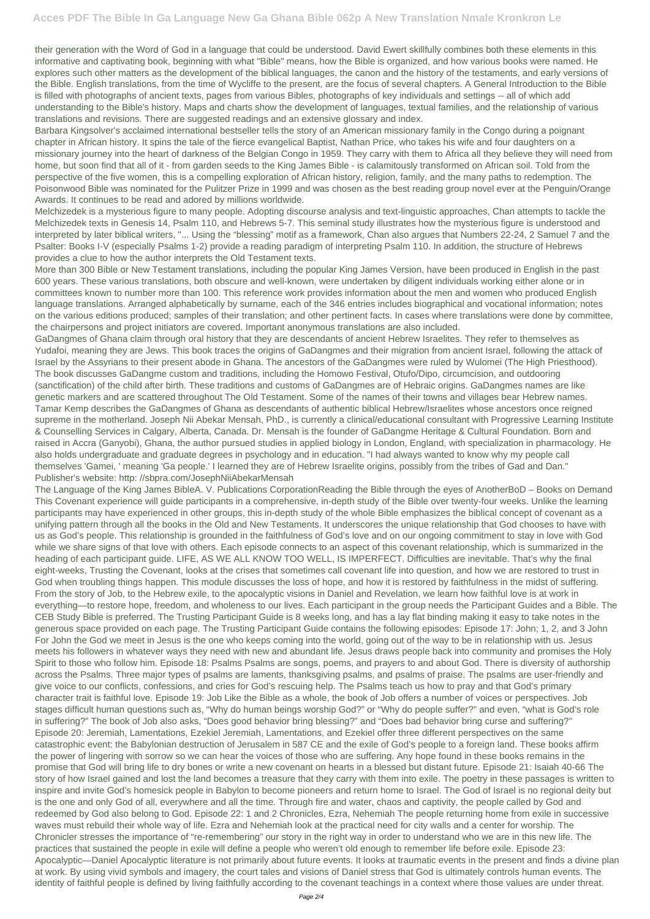their generation with the Word of God in a language that could be understood. David Ewert skillfully combines both these elements in this informative and captivating book, beginning with what "Bible" means, how the Bible is organized, and how various books were named. He explores such other matters as the development of the biblical languages, the canon and the history of the testaments, and early versions of the Bible. English translations, from the time of Wycliffe to the present, are the focus of several chapters. A General Introduction to the Bible is filled with photographs of ancient texts, pages from various Bibles, photographs of key individuals and settings -- all of which add understanding to the Bible's history. Maps and charts show the development of languages, textual families, and the relationship of various translations and revisions. There are suggested readings and an extensive glossary and index.

Barbara Kingsolver's acclaimed international bestseller tells the story of an American missionary family in the Congo during a poignant chapter in African history. It spins the tale of the fierce evangelical Baptist, Nathan Price, who takes his wife and four daughters on a missionary journey into the heart of darkness of the Belgian Congo in 1959. They carry with them to Africa all they believe they will need from home, but soon find that all of it - from garden seeds to the King James Bible - is calamitously transformed on African soil. Told from the perspective of the five women, this is a compelling exploration of African history, religion, family, and the many paths to redemption. The Poisonwood Bible was nominated for the Pulitzer Prize in 1999 and was chosen as the best reading group novel ever at the Penguin/Orange Awards. It continues to be read and adored by millions worldwide.

Melchizedek is a mysterious figure to many people. Adopting discourse analysis and text-linguistic approaches, Chan attempts to tackle the Melchizedek texts in Genesis 14, Psalm 110, and Hebrews 5-7. This seminal study illustrates how the mysterious figure is understood and interpreted by later biblical writers, "... Using the "blessing" motif as a framework, Chan also argues that Numbers 22-24, 2 Samuel 7 and the Psalter: Books I-V (especially Psalms 1-2) provide a reading paradigm of interpreting Psalm 110. In addition, the structure of Hebrews provides a clue to how the author interprets the Old Testament texts.

More than 300 Bible or New Testament translations, including the popular King James Version, have been produced in English in the past 600 years. These various translations, both obscure and well-known, were undertaken by diligent individuals working either alone or in committees known to number more than 100. This reference work provides information about the men and women who produced English language translations. Arranged alphabetically by surname, each of the 346 entries includes biographical and vocational information; notes on the various editions produced; samples of their translation; and other pertinent facts. In cases where translations were done by committee, the chairpersons and project initiators are covered. Important anonymous translations are also included.

GaDangmes of Ghana claim through oral history that they are descendants of ancient Hebrew Israelites. They refer to themselves as Yudafoi, meaning they are Jews. This book traces the origins of GaDangmes and their migration from ancient Israel, following the attack of Israel by the Assyrians to their present abode in Ghana. The ancestors of the GaDangmes were ruled by Wulomei (The High Priesthood). The book discusses GaDangme custom and traditions, including the Homowo Festival, Otufo/Dipo, circumcision, and outdooring (sanctification) of the child after birth. These traditions and customs of GaDangmes are of Hebraic origins. GaDangmes names are like genetic markers and are scattered throughout The Old Testament. Some of the names of their towns and villages bear Hebrew names. Tamar Kemp describes the GaDangmes of Ghana as descendants of authentic biblical Hebrew/Israelites whose ancestors once reigned supreme in the motherland. Joseph Nii Abekar Mensah, PhD., is currently a clinical/educational consultant with Progressive Learning Institute & Counselling Services in Calgary, Alberta, Canada. Dr. Mensah is the founder of GaDangme Heritage & Cultural Foundation. Born and raised in Accra (Ganyobi), Ghana, the author pursued studies in applied biology in London, England, with specialization in pharmacology. He also holds undergraduate and graduate degrees in psychology and in education. "I had always wanted to know why my people call themselves 'Gamei, ' meaning 'Ga people.' I learned they are of Hebrew Israelite origins, possibly from the tribes of Gad and Dan." Publisher's website: http: //sbpra.com/JosephNiiAbekarMensah

The Language of the King James BibleA. V. Publications CorporationReading the Bible through the eyes of AnotherBoD – Books on Demand This Covenant experience will guide participants in a comprehensive, in-depth study of the Bible over twenty-four weeks. Unlike the learning participants may have experienced in other groups, this in-depth study of the whole Bible emphasizes the biblical concept of covenant as a unifying pattern through all the books in the Old and New Testaments. It underscores the unique relationship that God chooses to have with us as God's people. This relationship is grounded in the faithfulness of God's love and on our ongoing commitment to stay in love with God while we share signs of that love with others. Each episode connects to an aspect of this covenant relationship, which is summarized in the heading of each participant guide. LIFE, AS WE ALL KNOW TOO WELL, IS IMPERFECT. Difficulties are inevitable. That's why the final eight-weeks, Trusting the Covenant, looks at the crises that sometimes call covenant life into question, and how we are restored to trust in God when troubling things happen. This module discusses the loss of hope, and how it is restored by faithfulness in the midst of suffering. From the story of Job, to the Hebrew exile, to the apocalyptic visions in Daniel and Revelation, we learn how faithful love is at work in everything—to restore hope, freedom, and wholeness to our lives. Each participant in the group needs the Participant Guides and a Bible. The CEB Study Bible is preferred. The Trusting Participant Guide is 8 weeks long, and has a lay flat binding making it easy to take notes in the generous space provided on each page. The Trusting Participant Guide contains the following episodes: Episode 17: John; 1, 2, and 3 John For John the God we meet in Jesus is the one who keeps coming into the world, going out of the way to be in relationship with us. Jesus meets his followers in whatever ways they need with new and abundant life. Jesus draws people back into community and promises the Holy Spirit to those who follow him. Episode 18: Psalms Psalms are songs, poems, and prayers to and about God. There is diversity of authorship across the Psalms. Three major types of psalms are laments, thanksgiving psalms, and psalms of praise. The psalms are user-friendly and give voice to our conflicts, confessions, and cries for God's rescuing help. The Psalms teach us how to pray and that God's primary character trait is faithful love. Episode 19: Job Like the Bible as a whole, the book of Job offers a number of voices or perspectives. Job stages difficult human questions such as, "Why do human beings worship God?" or "Why do people suffer?" and even, "what is God's role in suffering?" The book of Job also asks, "Does good behavior bring blessing?" and "Does bad behavior bring curse and suffering?" Episode 20: Jeremiah, Lamentations, Ezekiel Jeremiah, Lamentations, and Ezekiel offer three different perspectives on the same catastrophic event: the Babylonian destruction of Jerusalem in 587 CE and the exile of God's people to a foreign land. These books affirm the power of lingering with sorrow so we can hear the voices of those who are suffering. Any hope found in these books remains in the promise that God will bring life to dry bones or write a new covenant on hearts in a blessed but distant future. Episode 21: Isaiah 40-66 The story of how Israel gained and lost the land becomes a treasure that they carry with them into exile. The poetry in these passages is written to inspire and invite God's homesick people in Babylon to become pioneers and return home to Israel. The God of Israel is no regional deity but is the one and only God of all, everywhere and all the time. Through fire and water, chaos and captivity, the people called by God and redeemed by God also belong to God. Episode 22: 1 and 2 Chronicles, Ezra, Nehemiah The people returning home from exile in successive waves must rebuild their whole way of life. Ezra and Nehemiah look at the practical need for city walls and a center for worship. The Chronicler stresses the importance of "re-remembering" our story in the right way in order to understand who we are in this new life. The practices that sustained the people in exile will define a people who weren't old enough to remember life before exile. Episode 23: Apocalyptic—Daniel Apocalyptic literature is not primarily about future events. It looks at traumatic events in the present and finds a divine plan at work. By using vivid symbols and imagery, the court tales and visions of Daniel stress that God is ultimately controls human events. The identity of faithful people is defined by living faithfully according to the covenant teachings in a context where those values are under threat.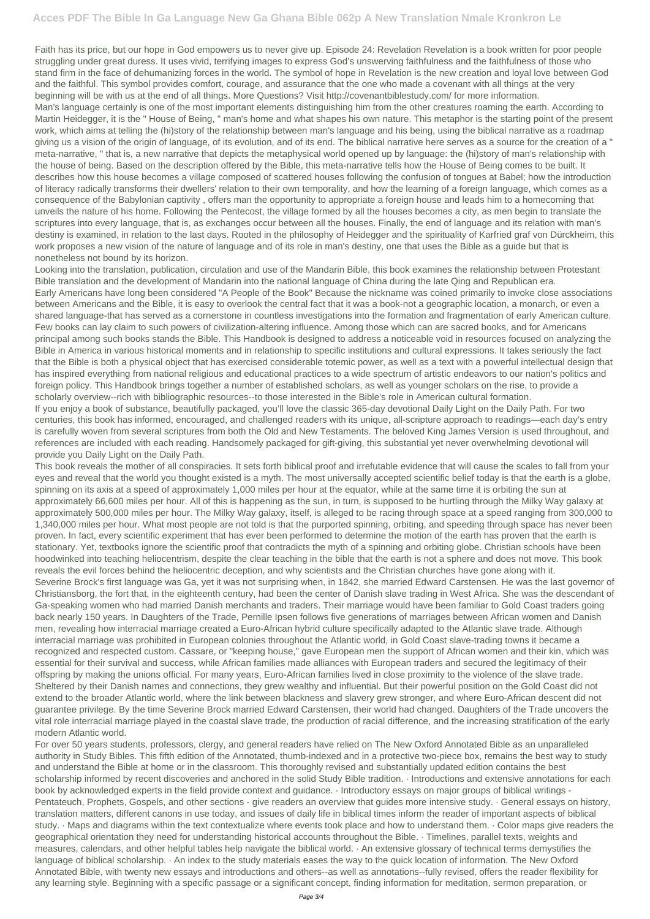Faith has its price, but our hope in God empowers us to never give up. Episode 24: Revelation Revelation is a book written for poor people struggling under great duress. It uses vivid, terrifying images to express God's unswerving faithfulness and the faithfulness of those who stand firm in the face of dehumanizing forces in the world. The symbol of hope in Revelation is the new creation and loyal love between God and the faithful. This symbol provides comfort, courage, and assurance that the one who made a covenant with all things at the very beginning will be with us at the end of all things. More Questions? Visit http://covenantbiblestudy.com/ for more information.

Man's language certainly is one of the most important elements distinguishing him from the other creatures roaming the earth. According to Martin Heidegger, it is the " House of Being, " man's home and what shapes his own nature. This metaphor is the starting point of the present work, which aims at telling the (hi)story of the relationship between man's language and his being, using the biblical narrative as a roadmap giving us a vision of the origin of language, of its evolution, and of its end. The biblical narrative here serves as a source for the creation of a " meta-narrative, " that is, a new narrative that depicts the metaphysical world opened up by language: the (hi)story of man's relationship with the house of being. Based on the description offered by the Bible, this meta-narrative tells how the House of Being comes to be built. It describes how this house becomes a village composed of scattered houses following the confusion of tongues at Babel; how the introduction of literacy radically transforms their dwellers' relation to their own temporality, and how the learning of a foreign language, which comes as a consequence of the Babylonian captivity , offers man the opportunity to appropriate a foreign house and leads him to a homecoming that unveils the nature of his home. Following the Pentecost, the village formed by all the houses becomes a city, as men begin to translate the scriptures into every language, that is, as exchanges occur between all the houses. Finally, the end of language and its relation with man's destiny is examined, in relation to the last days. Rooted in the philosophy of Heidegger and the spirituality of Karfried graf von Dürckheim, this work proposes a new vision of the nature of language and of its role in man's destiny, one that uses the Bible as a guide but that is nonetheless not bound by its horizon.

Looking into the translation, publication, circulation and use of the Mandarin Bible, this book examines the relationship between Protestant Bible translation and the development of Mandarin into the national language of China during the late Qing and Republican era. Early Americans have long been considered "A People of the Book" Because the nickname was coined primarily to invoke close associations between Americans and the Bible, it is easy to overlook the central fact that it was a book-not a geographic location, a monarch, or even a shared language-that has served as a cornerstone in countless investigations into the formation and fragmentation of early American culture. Few books can lay claim to such powers of civilization-altering influence. Among those which can are sacred books, and for Americans principal among such books stands the Bible. This Handbook is designed to address a noticeable void in resources focused on analyzing the Bible in America in various historical moments and in relationship to specific institutions and cultural expressions. It takes seriously the fact that the Bible is both a physical object that has exercised considerable totemic power, as well as a text with a powerful intellectual design that has inspired everything from national religious and educational practices to a wide spectrum of artistic endeavors to our nation's politics and foreign policy. This Handbook brings together a number of established scholars, as well as younger scholars on the rise, to provide a scholarly overview--rich with bibliographic resources--to those interested in the Bible's role in American cultural formation.

If you enjoy a book of substance, beautifully packaged, you'll love the classic 365-day devotional Daily Light on the Daily Path. For two centuries, this book has informed, encouraged, and challenged readers with its unique, all-scripture approach to readings—each day's entry is carefully woven from several scriptures from both the Old and New Testaments. The beloved King James Version is used throughout, and references are included with each reading. Handsomely packaged for gift-giving, this substantial yet never overwhelming devotional will provide you Daily Light on the Daily Path.

This book reveals the mother of all conspiracies. It sets forth biblical proof and irrefutable evidence that will cause the scales to fall from your eyes and reveal that the world you thought existed is a myth. The most universally accepted scientific belief today is that the earth is a globe, spinning on its axis at a speed of approximately 1,000 miles per hour at the equator, while at the same time it is orbiting the sun at approximately 66,600 miles per hour. All of this is happening as the sun, in turn, is supposed to be hurtling through the Milky Way galaxy at approximately 500,000 miles per hour. The Milky Way galaxy, itself, is alleged to be racing through space at a speed ranging from 300,000 to 1,340,000 miles per hour. What most people are not told is that the purported spinning, orbiting, and speeding through space has never been proven. In fact, every scientific experiment that has ever been performed to determine the motion of the earth has proven that the earth is stationary. Yet, textbooks ignore the scientific proof that contradicts the myth of a spinning and orbiting globe. Christian schools have been hoodwinked into teaching heliocentrism, despite the clear teaching in the bible that the earth is not a sphere and does not move. This book reveals the evil forces behind the heliocentric deception, and why scientists and the Christian churches have gone along with it. Severine Brock's first language was Ga, yet it was not surprising when, in 1842, she married Edward Carstensen. He was the last governor of Christiansborg, the fort that, in the eighteenth century, had been the center of Danish slave trading in West Africa. She was the descendant of Ga-speaking women who had married Danish merchants and traders. Their marriage would have been familiar to Gold Coast traders going back nearly 150 years. In Daughters of the Trade, Pernille Ipsen follows five generations of marriages between African women and Danish men, revealing how interracial marriage created a Euro-African hybrid culture specifically adapted to the Atlantic slave trade. Although interracial marriage was prohibited in European colonies throughout the Atlantic world, in Gold Coast slave-trading towns it became a recognized and respected custom. Cassare, or "keeping house," gave European men the support of African women and their kin, which was essential for their survival and success, while African families made alliances with European traders and secured the legitimacy of their offspring by making the unions official. For many years, Euro-African families lived in close proximity to the violence of the slave trade. Sheltered by their Danish names and connections, they grew wealthy and influential. But their powerful position on the Gold Coast did not

extend to the broader Atlantic world, where the link between blackness and slavery grew stronger, and where Euro-African descent did not guarantee privilege. By the time Severine Brock married Edward Carstensen, their world had changed. Daughters of the Trade uncovers the vital role interracial marriage played in the coastal slave trade, the production of racial difference, and the increasing stratification of the early modern Atlantic world.

For over 50 years students, professors, clergy, and general readers have relied on The New Oxford Annotated Bible as an unparalleled authority in Study Bibles. This fifth edition of the Annotated, thumb-indexed and in a protective two-piece box, remains the best way to study and understand the Bible at home or in the classroom. This thoroughly revised and substantially updated edition contains the best scholarship informed by recent discoveries and anchored in the solid Study Bible tradition. · Introductions and extensive annotations for each book by acknowledged experts in the field provide context and guidance. · Introductory essays on major groups of biblical writings - Pentateuch, Prophets, Gospels, and other sections - give readers an overview that guides more intensive study. · General essays on history, translation matters, different canons in use today, and issues of daily life in biblical times inform the reader of important aspects of biblical study. · Maps and diagrams within the text contextualize where events took place and how to understand them. · Color maps give readers the geographical orientation they need for understanding historical accounts throughout the Bible. · Timelines, parallel texts, weights and measures, calendars, and other helpful tables help navigate the biblical world. · An extensive glossary of technical terms demystifies the language of biblical scholarship. · An index to the study materials eases the way to the quick location of information. The New Oxford Annotated Bible, with twenty new essays and introductions and others--as well as annotations--fully revised, offers the reader flexibility for any learning style. Beginning with a specific passage or a significant concept, finding information for meditation, sermon preparation, or